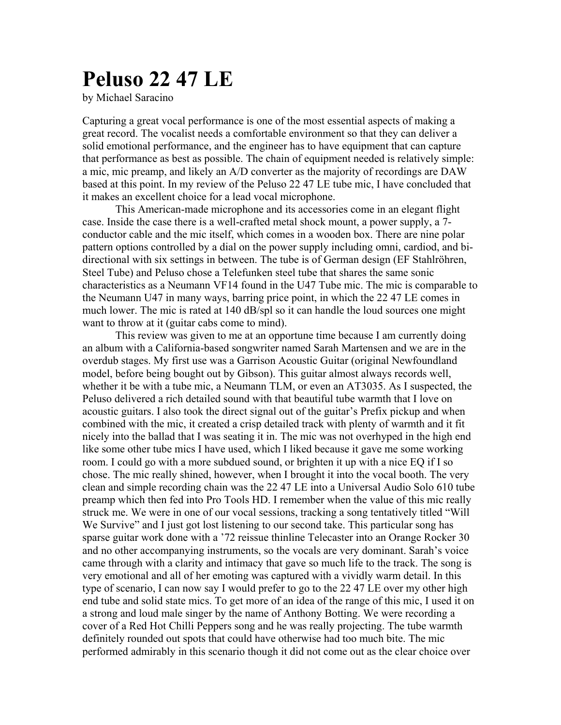## **Peluso 22 47 LE**

by Michael Saracino

Capturing a great vocal performance is one of the most essential aspects of making a great record. The vocalist needs a comfortable environment so that they can deliver a solid emotional performance, and the engineer has to have equipment that can capture that performance as best as possible. The chain of equipment needed is relatively simple: a mic, mic preamp, and likely an A/D converter as the majority of recordings are DAW based at this point. In my review of the Peluso 22 47 LE tube mic, I have concluded that it makes an excellent choice for a lead vocal microphone.

This American-made microphone and its accessories come in an elegant flight case. Inside the case there is a well-crafted metal shock mount, a power supply, a 7 conductor cable and the mic itself, which comes in a wooden box. There are nine polar pattern options controlled by a dial on the power supply including omni, cardiod, and bidirectional with six settings in between. The tube is of German design (EF Stahlröhren, Steel Tube) and Peluso chose a Telefunken steel tube that shares the same sonic characteristics as a Neumann VF14 found in the U47 Tube mic. The mic is comparable to the Neumann U47 in many ways, barring price point, in which the 22 47 LE comes in much lower. The mic is rated at 140 dB/spl so it can handle the loud sources one might want to throw at it (guitar cabs come to mind).

This review was given to me at an opportune time because I am currently doing an album with a California-based songwriter named Sarah Martensen and we are in the overdub stages. My first use was a Garrison Acoustic Guitar (original Newfoundland model, before being bought out by Gibson). This guitar almost always records well, whether it be with a tube mic, a Neumann TLM, or even an AT3035. As I suspected, the Peluso delivered a rich detailed sound with that beautiful tube warmth that I love on acoustic guitars. I also took the direct signal out of the guitar's Prefix pickup and when combined with the mic, it created a crisp detailed track with plenty of warmth and it fit nicely into the ballad that I was seating it in. The mic was not overhyped in the high end like some other tube mics I have used, which I liked because it gave me some working room. I could go with a more subdued sound, or brighten it up with a nice EQ if I so chose. The mic really shined, however, when I brought it into the vocal booth. The very clean and simple recording chain was the 22 47 LE into a Universal Audio Solo 610 tube preamp which then fed into Pro Tools HD. I remember when the value of this mic really struck me. We were in one of our vocal sessions, tracking a song tentatively titled "Will We Survive" and I just got lost listening to our second take. This particular song has sparse guitar work done with a '72 reissue thinline Telecaster into an Orange Rocker 30 and no other accompanying instruments, so the vocals are very dominant. Sarah's voice came through with a clarity and intimacy that gave so much life to the track. The song is very emotional and all of her emoting was captured with a vividly warm detail. In this type of scenario, I can now say I would prefer to go to the 22 47 LE over my other high end tube and solid state mics. To get more of an idea of the range of this mic, I used it on a strong and loud male singer by the name of Anthony Botting. We were recording a cover of a Red Hot Chilli Peppers song and he was really projecting. The tube warmth definitely rounded out spots that could have otherwise had too much bite. The mic performed admirably in this scenario though it did not come out as the clear choice over